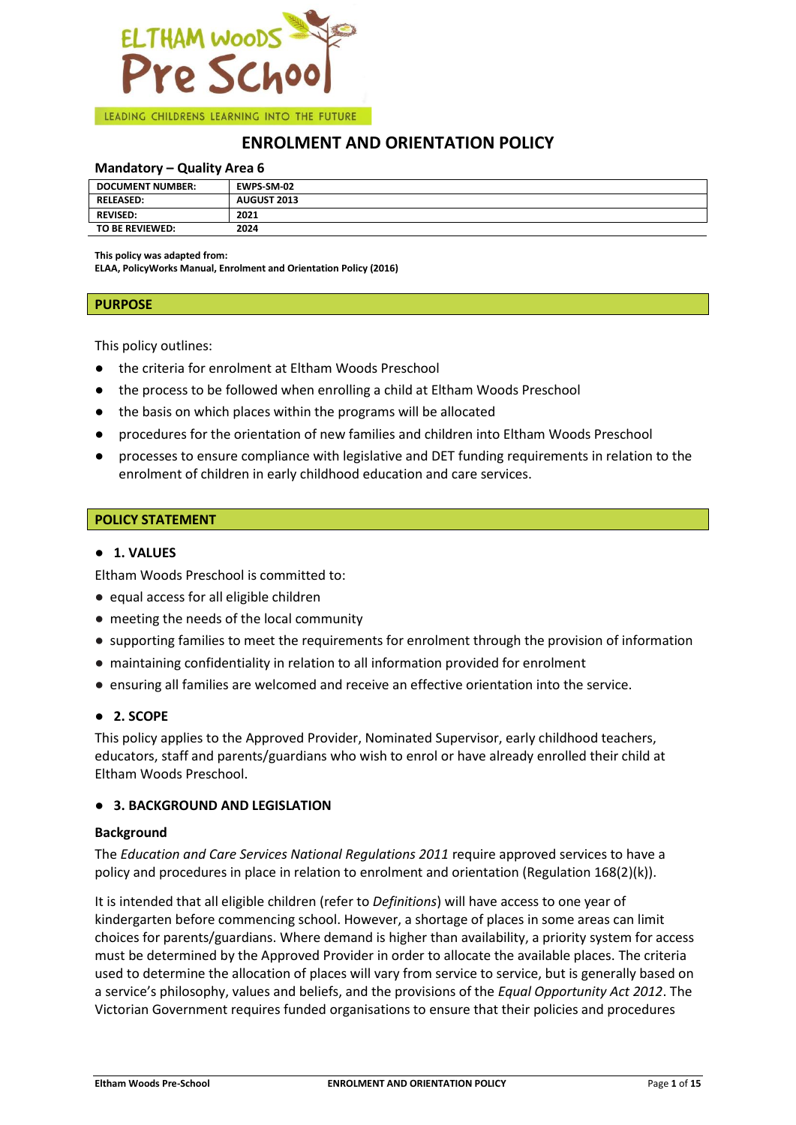

# **ENROLMENT AND ORIENTATION POLICY**

### **Mandatory – Quality Area 6**

| <b>DOCUMENT NUMBER:</b> | EWPS-SM-02  |
|-------------------------|-------------|
| <b>RELEASED:</b>        | AUGUST 2013 |
| <b>REVISED:</b>         | 2021        |
| TO BE REVIEWED:         | 2024        |

**This policy was adapted from:**

**ELAA, PolicyWorks Manual, Enrolment and Orientation Policy (2016)**

#### **PURPOSE**

This policy outlines:

- the criteria for enrolment at Eltham Woods Preschool
- the process to be followed when enrolling a child at Eltham Woods Preschool
- the basis on which places within the programs will be allocated
- procedures for the orientation of new families and children into Eltham Woods Preschool
- processes to ensure compliance with legislative and DET funding requirements in relation to the enrolment of children in early childhood education and care services.

#### **POLICY STATEMENT**

## ● **1. VALUES**

Eltham Woods Preschool is committed to:

- equal access for all eligible children
- meeting the needs of the local community
- supporting families to meet the requirements for enrolment through the provision of information
- maintaining confidentiality in relation to all information provided for enrolment
- ensuring all families are welcomed and receive an effective orientation into the service.

## ● **2. SCOPE**

This policy applies to the Approved Provider, Nominated Supervisor, early childhood teachers, educators, staff and parents/guardians who wish to enrol or have already enrolled their child at Eltham Woods Preschool.

#### ● **3. BACKGROUND AND LEGISLATION**

#### **Background**

The *Education and Care Services National Regulations 2011* require approved services to have a policy and procedures in place in relation to enrolment and orientation (Regulation 168(2)(k)).

It is intended that all eligible children (refer to *Definitions*) will have access to one year of kindergarten before commencing school. However, a shortage of places in some areas can limit choices for parents/guardians. Where demand is higher than availability, a priority system for access must be determined by the Approved Provider in order to allocate the available places. The criteria used to determine the allocation of places will vary from service to service, but is generally based on a service's philosophy, values and beliefs, and the provisions of the *Equal Opportunity Act 2012*. The Victorian Government requires funded organisations to ensure that their policies and procedures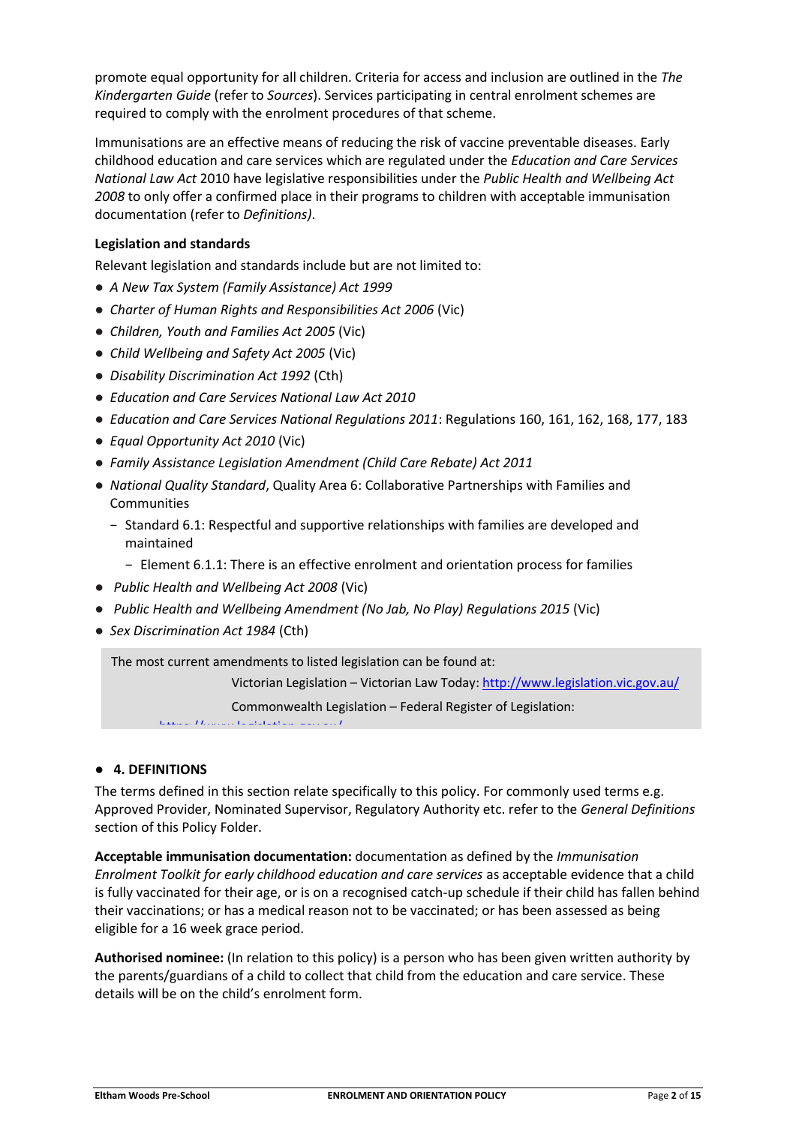promote equal opportunity for all children. Criteria for access and inclusion are outlined in the *The Kindergarten Guide* (refer to *Sources*). Services participating in central enrolment schemes are required to comply with the enrolment procedures of that scheme.

Immunisations are an effective means of reducing the risk of vaccine preventable diseases. Early childhood education and care services which are regulated under the *Education and Care Services National Law Act* 2010 have legislative responsibilities under the *Public Health and Wellbeing Act 2008* to only offer a confirmed place in their programs to children with acceptable immunisation documentation (refer to *Definitions)*.

# **Legislation and standards**

Relevant legislation and standards include but are not limited to:

- *A New Tax System (Family Assistance) Act 1999*
- *[Charter of Human Rights and Responsibilities Act 2006](http://www.legislation.vic.gov.au/Domino/Web_Notes/LDMS/PubStatbook.nsf/f932b66241ecf1b7ca256e92000e23be/54d73763ef9dca36ca2571b6002428b0!OpenDocument)* [\(Vic\)](http://www.legislation.vic.gov.au/Domino/Web_Notes/LDMS/PubStatbook.nsf/f932b66241ecf1b7ca256e92000e23be/54d73763ef9dca36ca2571b6002428b0!OpenDocument)
- *Children, Youth and Families Act 2005* (Vic)
- *Child Wellbeing and Safety Act 2005* (Vic)
- *Disability Discrimination Act 1992* (Cth)
- *Education and Care Services National Law Act 2010*
- *Education and Care Services National Regulations 2011*: Regulations 160, 161, 162, 168, 177, 183
- *Equal Opportunity Act 2010* (Vic)
- *Family Assistance Legislation Amendment (Child Care Rebate) Act 2011*
- *National Quality Standard*, Quality Area 6: Collaborative Partnerships with Families and Communities
	- − Standard 6.1: Respectful and supportive relationships with families are developed and maintained
		- − Element 6.1.1: There is an effective enrolment and orientation process for families
- *Public Health and Wellbeing Act 2008* (Vic)
- *Public Health and Wellbeing Amendment (No Jab, No Play) Regulations 2015* (Vic)
- *Sex Discrimination Act 1984* (Cth)

The most current amendments to listed legislation can be found at:

Victorian Legislation – Victorian Law Today: http://www.legislation.vic.gov.au/

Commonwealth Legislation – Federal Register of Legislation:

# https://www.legislation.gov.au/

## ● **4. DEFINITIONS**

The terms defined in this section relate specifically to this policy. For commonly used terms e.g. Approved Provider, Nominated Supervisor, Regulatory Authority etc. refer to the *General Definitions* section of this Policy Folder.

**Acceptable immunisation documentation:** documentation as defined by the *Immunisation Enrolment Toolkit for early childhood education and care services* as acceptable evidence that a child is fully vaccinated for their age, or is on a recognised catch-up schedule if their child has fallen behind their vaccinations; or has a medical reason not to be vaccinated; or has been assessed as being eligible for a 16 week grace period.

**Authorised nominee:** (In relation to this policy) is a person who has been given written authority by the parents/guardians of a child to collect that child from the education and care service. These details will be on the child's enrolment form.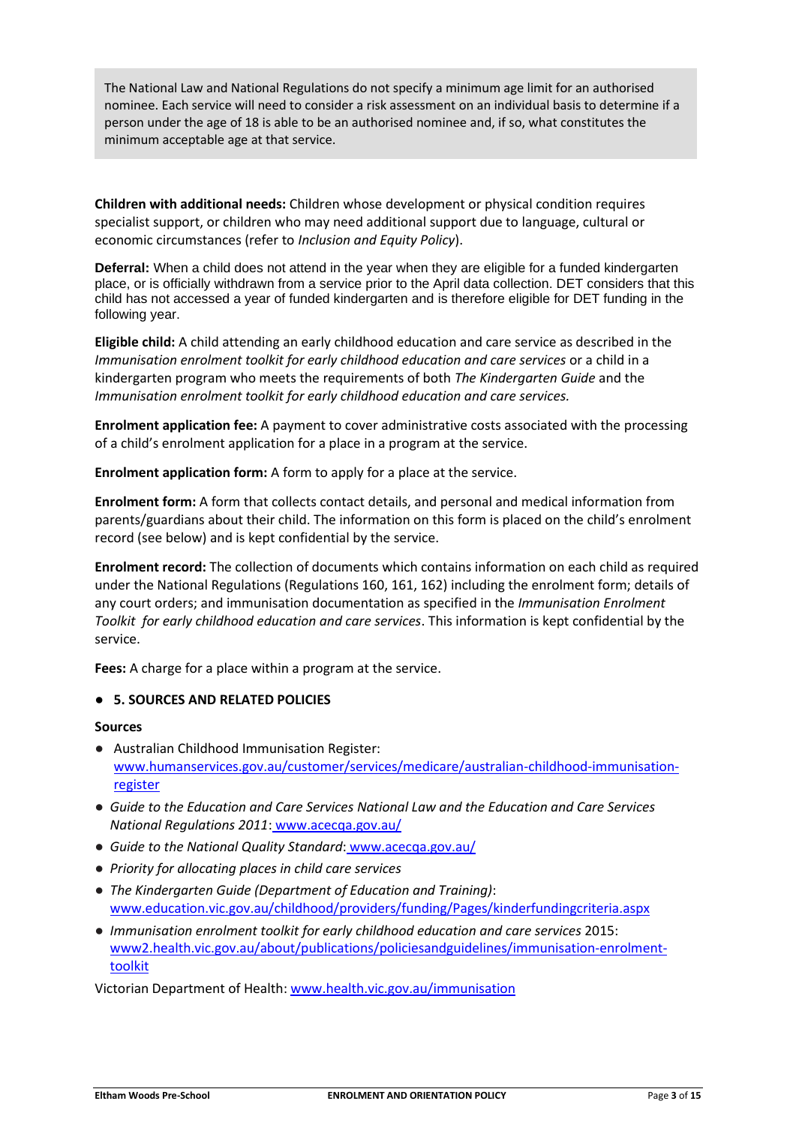The National Law and National Regulations do not specify a minimum age limit for an authorised nominee. Each service will need to consider a risk assessment on an individual basis to determine if a person under the age of 18 is able to be an authorised nominee and, if so, what constitutes the minimum acceptable age at that service.

**Children with additional needs:** Children whose development or physical condition requires specialist support, or children who may need additional support due to language, cultural or economic circumstances (refer to *Inclusion and Equity Policy*).

**Deferral:** When a child does not attend in the year when they are eligible for a funded kindergarten place, or is officially withdrawn from a service prior to the April data collection. DET considers that this child has not accessed a year of funded kindergarten and is therefore eligible for DET funding in the following year.

**Eligible child:** A child attending an early childhood education and care service as described in the *Immunisation enrolment toolkit for early childhood education and care services* or a child in a kindergarten program who meets the requirements of both *The Kindergarten Guide* and the *Immunisation enrolment toolkit for early childhood education and care services.*

**Enrolment application fee:** A payment to cover administrative costs associated with the processing of a child's enrolment application for a place in a program at the service.

**Enrolment application form:** A form to apply for a place at the service.

**Enrolment form:** A form that collects contact details, and personal and medical information from parents/guardians about their child. The information on this form is placed on the child's enrolment record (see below) and is kept confidential by the service.

**Enrolment record:** The collection of documents which contains information on each child as required under the National Regulations (Regulations 160, 161, 162) including the enrolment form; details of any court orders; and immunisation documentation as specified in the *Immunisation Enrolment Toolkit for early childhood education and care services*. This information is kept confidential by the service.

**Fees:** A charge for a place within a program at the service.

# ● **5. SOURCES AND RELATED POLICIES**

## **Sources**

- Australian Childhood Immunisation Register: [www.humanservices.gov.au/customer/services/medicare/australian-childhood-immunisation](http://www.humanservices.gov.au/customer/services/medicare/australian-childhood-immunisation-register)[register](http://www.humanservices.gov.au/customer/services/medicare/australian-childhood-immunisation-register)
- *Guide to the Education and Care Services National Law and the Education and Care Services National Regulations 2011*: www.acecqa.gov.au/
- *Guide to the National Quality Standard*: www.acecqa.gov.au/
- *Priority for allocating places in child care services*
- *The Kindergarten Guide (Department of Education and Training)*: [www.education.vic.gov.au/childhood/providers/funding/Pages/kinderfundingcriteria.aspx](http://www.education.vic.gov.au/childhood/providers/funding/Pages/kinderfundingcriteria.aspx)
- *Immunisation enrolment toolkit for early childhood education and care services* 2015: [www2.health.vic.gov.au/about/publications/policiesandguidelines/immunisation-enrolment](https://www2.health.vic.gov.au/about/publications/policiesandguidelines/immunisation-enrolment-toolkit)[toolkit](https://www2.health.vic.gov.au/about/publications/policiesandguidelines/immunisation-enrolment-toolkit)

Victorian Department of Health[: www.health.vic.gov.au/immunisation](http://www.health.vic.gov.au/immunisation)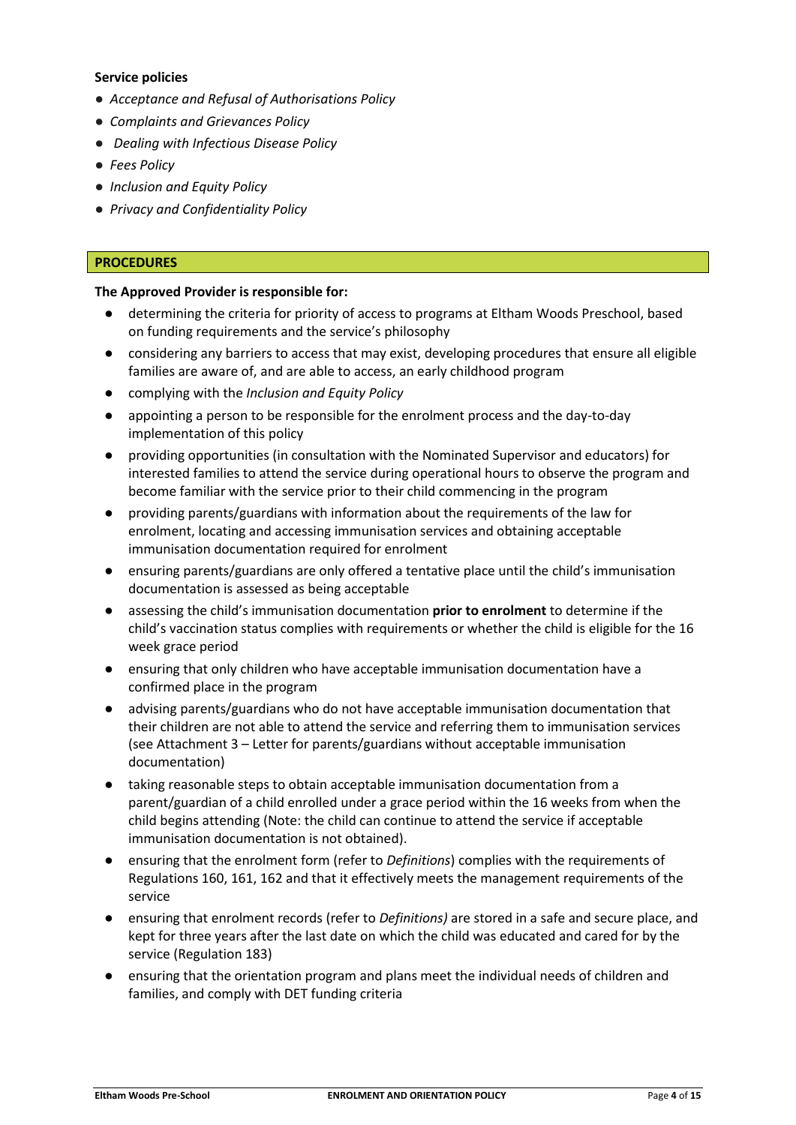# **Service policies**

- *Acceptance and Refusal of Authorisations Policy*
- *Complaints and Grievances Policy*
- *Dealing with Infectious Disease Policy*
- *Fees Policy*
- *Inclusion and Equity Policy*
- *Privacy and Confidentiality Policy*

# **PROCEDURES**

## **The Approved Provider is responsible for:**

- determining the criteria for priority of access to programs at Eltham Woods Preschool, based on funding requirements and the service's philosophy
- considering any barriers to access that may exist, developing procedures that ensure all eligible families are aware of, and are able to access, an early childhood program
- complying with the *Inclusion and Equity Policy*
- appointing a person to be responsible for the enrolment process and the day-to-day implementation of this policy
- providing opportunities (in consultation with the Nominated Supervisor and educators) for interested families to attend the service during operational hours to observe the program and become familiar with the service prior to their child commencing in the program
- providing parents/guardians with information about the requirements of the law for enrolment, locating and accessing immunisation services and obtaining acceptable immunisation documentation required for enrolment
- ensuring parents/guardians are only offered a tentative place until the child's immunisation documentation is assessed as being acceptable
- assessing the child's immunisation documentation **prior to enrolment** to determine if the child's vaccination status complies with requirements or whether the child is eligible for the 16 week grace period
- ensuring that only children who have acceptable immunisation documentation have a confirmed place in the program
- advising parents/guardians who do not have acceptable immunisation documentation that their children are not able to attend the service and referring them to immunisation services (see Attachment 3 – Letter for parents/guardians without acceptable immunisation documentation)
- taking reasonable steps to obtain acceptable immunisation documentation from a parent/guardian of a child enrolled under a grace period within the 16 weeks from when the child begins attending (Note: the child can continue to attend the service if acceptable immunisation documentation is not obtained).
- ensuring that the enrolment form (refer to *Definitions*) complies with the requirements of Regulations 160, 161, 162 and that it effectively meets the management requirements of the service
- ensuring that enrolment records (refer to *Definitions*) are stored in a safe and secure place, and kept for three years after the last date on which the child was educated and cared for by the service (Regulation 183)
- ensuring that the orientation program and plans meet the individual needs of children and families, and comply with DET funding criteria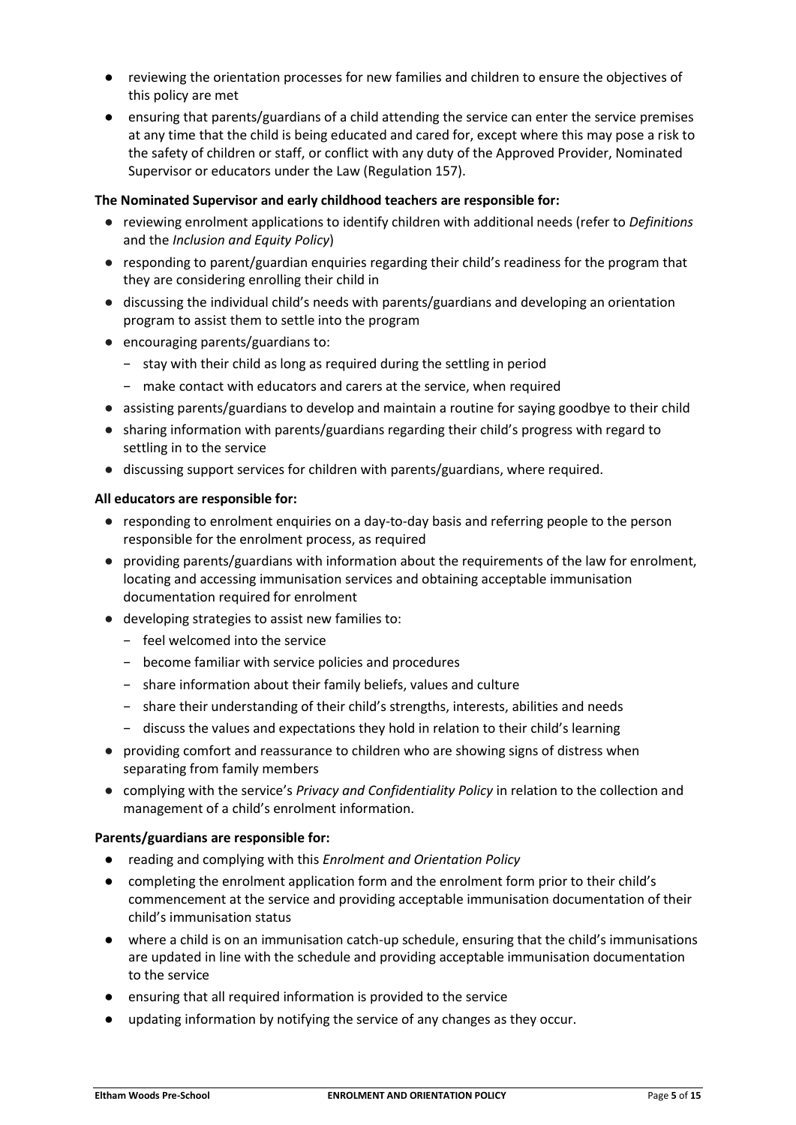- reviewing the orientation processes for new families and children to ensure the objectives of this policy are met
- ensuring that parents/guardians of a child attending the service can enter the service premises at any time that the child is being educated and cared for, except where this may pose a risk to the safety of children or staff, or conflict with any duty of the Approved Provider, Nominated Supervisor or educators under the Law (Regulation 157).

# **The Nominated Supervisor and early childhood teachers are responsible for:**

- reviewing enrolment applications to identify children with additional needs (refer to *Definitions*  and the *Inclusion and Equity Policy*)
- responding to parent/guardian enquiries regarding their child's readiness for the program that they are considering enrolling their child in
- discussing the individual child's needs with parents/guardians and developing an orientation program to assist them to settle into the program
- encouraging parents/guardians to:
	- − stay with their child as long as required during the settling in period
	- − make contact with educators and carers at the service, when required
- assisting parents/guardians to develop and maintain a routine for saying goodbye to their child
- sharing information with parents/guardians regarding their child's progress with regard to settling in to the service
- discussing support services for children with parents/guardians, where required.

## **All educators are responsible for:**

- responding to enrolment enquiries on a day-to-day basis and referring people to the person responsible for the enrolment process, as required
- providing parents/guardians with information about the requirements of the law for enrolment, locating and accessing immunisation services and obtaining acceptable immunisation documentation required for enrolment
- developing strategies to assist new families to:
	- − feel welcomed into the service
	- − become familiar with service policies and procedures
	- − share information about their family beliefs, values and culture
	- − share their understanding of their child's strengths, interests, abilities and needs
	- − discuss the values and expectations they hold in relation to their child's learning
- providing comfort and reassurance to children who are showing signs of distress when separating from family members
- complying with the service's *Privacy and Confidentiality Policy* in relation to the collection and management of a child's enrolment information.

## **Parents/guardians are responsible for:**

- reading and complying with this *Enrolment and Orientation Policy*
- completing the enrolment application form and the enrolment form prior to their child's commencement at the service and providing acceptable immunisation documentation of their child's immunisation status
- where a child is on an immunisation catch-up schedule, ensuring that the child's immunisations are updated in line with the schedule and providing acceptable immunisation documentation to the service
- ensuring that all required information is provided to the service
- updating information by notifying the service of any changes as they occur.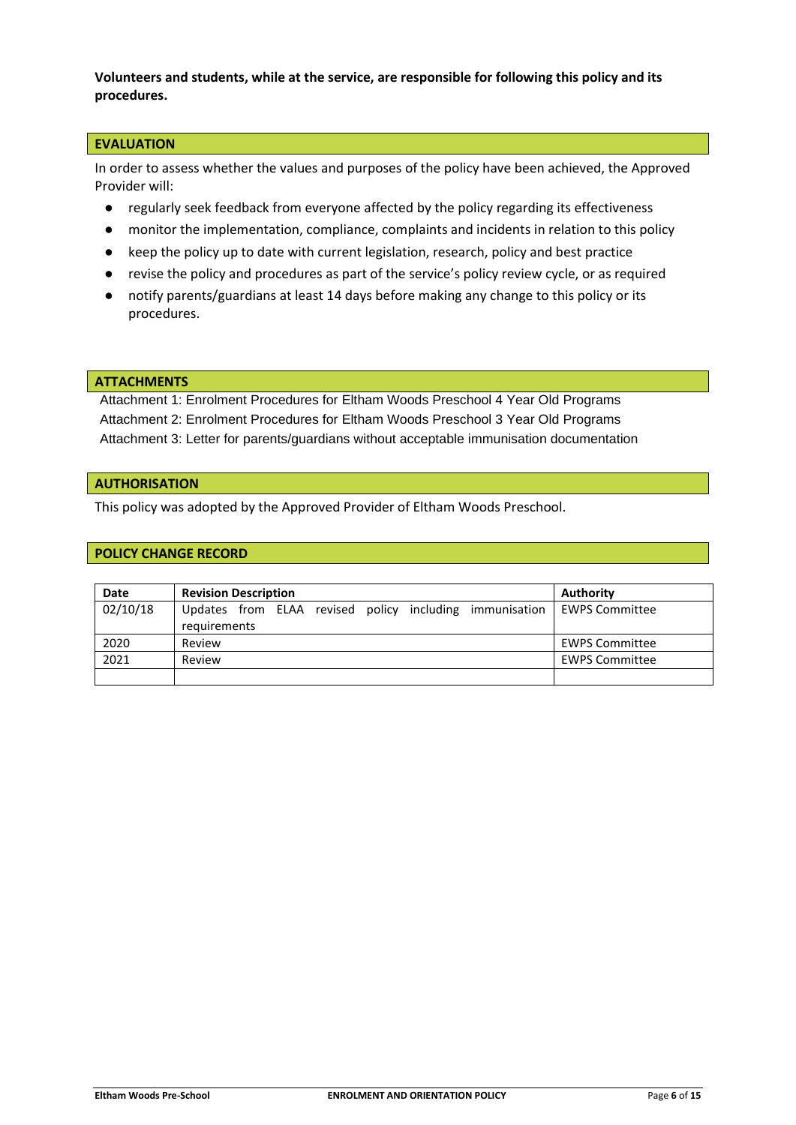**Volunteers and students, while at the service, are responsible for following this policy and its procedures.**

# **EVALUATION**

In order to assess whether the values and purposes of the policy have been achieved, the Approved Provider will:

- regularly seek feedback from everyone affected by the policy regarding its effectiveness
- monitor the implementation, compliance, complaints and incidents in relation to this policy
- keep the policy up to date with current legislation, research, policy and best practice
- revise the policy and procedures as part of the service's policy review cycle, or as required
- notify parents/guardians at least 14 days before making any change to this policy or its procedures.

#### **ATTACHMENTS**

Attachment 1: Enrolment Procedures for Eltham Woods Preschool 4 Year Old Programs Attachment 2: Enrolment Procedures for Eltham Woods Preschool 3 Year Old Programs Attachment 3: Letter for parents/guardians without acceptable immunisation documentation

#### **AUTHORISATION**

This policy was adopted by the Approved Provider of Eltham Woods Preschool.

#### **POLICY CHANGE RECORD**

| <b>Date</b> | <b>Revision Description</b>                                             | Authority             |
|-------------|-------------------------------------------------------------------------|-----------------------|
| 02/10/18    | Updates from ELAA revised policy including immunisation<br>requirements | <b>EWPS Committee</b> |
| 2020        | Review                                                                  | <b>EWPS Committee</b> |
| 2021        | Review                                                                  | <b>EWPS Committee</b> |
|             |                                                                         |                       |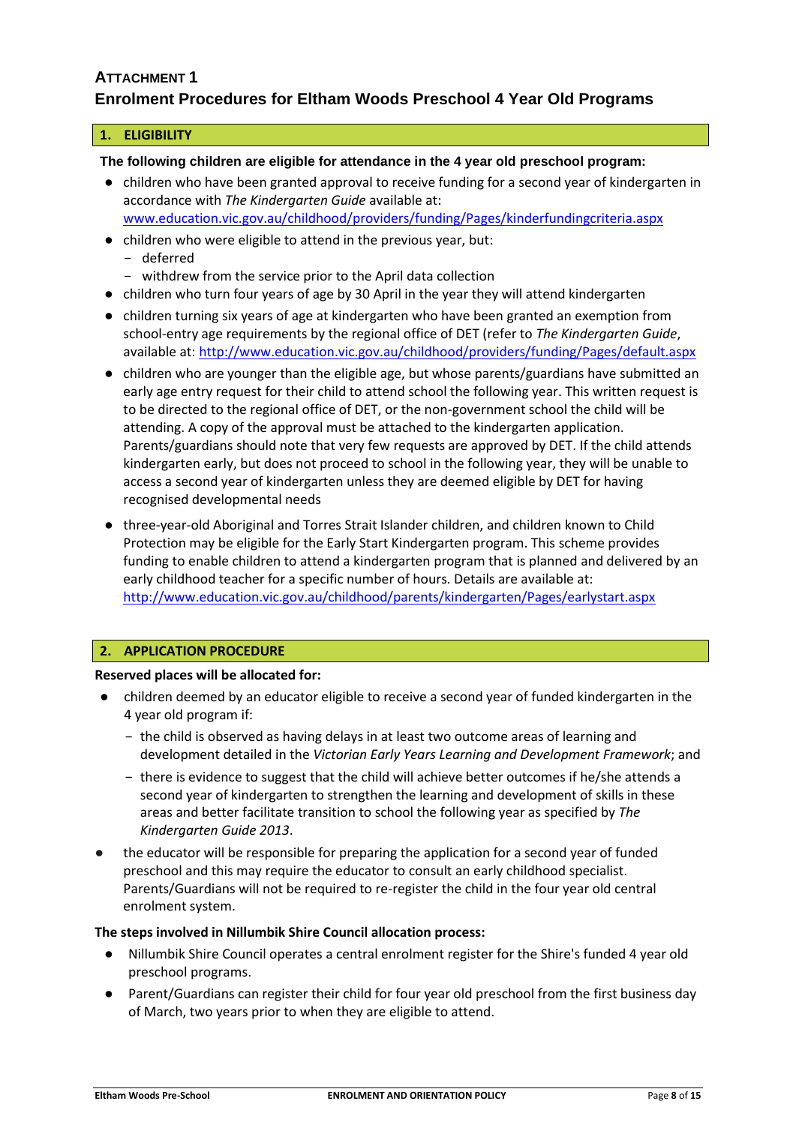# **ATTACHMENT 1 Enrolment Procedures for Eltham Woods Preschool 4 Year Old Programs**

# **1. ELIGIBILITY**

**The following children are eligible for attendance in the 4 year old preschool program:**

- children who have been granted approval to receive funding for a second year of kindergarten in accordance with *The Kindergarten Guide* available at: [www.education.vic.gov.au/childhood/providers/funding/Pages/kinderfundingcriteria.aspx](http://www.education.vic.gov.au/childhood/providers/funding/Pages/kinderfundingcriteria.aspx)
- children who were eligible to attend in the previous year, but:
	- deferred
	- withdrew from the service prior to the April data collection
- children who turn four years of age by 30 April in the year they will attend kindergarten
- children turning six years of age at kindergarten who have been granted an exemption from school-entry age requirements by the regional office of DET (refer to *The Kindergarten Guide*, available at: <http://www.education.vic.gov.au/childhood/providers/funding/Pages/default.aspx>
- children who are younger than the eligible age, but whose parents/guardians have submitted an early age entry request for their child to attend school the following year. This written request is to be directed to the regional office of DET, or the non-government school the child will be attending. A copy of the approval must be attached to the kindergarten application. Parents/guardians should note that very few requests are approved by DET. If the child attends kindergarten early, but does not proceed to school in the following year, they will be unable to access a second year of kindergarten unless they are deemed eligible by DET for having recognised developmental needs
- three-year-old Aboriginal and Torres Strait Islander children, and children known to Child Protection may be eligible for the Early Start Kindergarten program. This scheme provides funding to enable children to attend a kindergarten program that is planned and delivered by an early childhood teacher for a specific number of hours. Details are available at: <http://www.education.vic.gov.au/childhood/parents/kindergarten/Pages/earlystart.aspx>

# **2. APPLICATION PROCEDURE**

## **Reserved places will be allocated for:**

- children deemed by an educator eligible to receive a second year of funded kindergarten in the 4 year old program if:
	- − the child is observed as having delays in at least two outcome areas of learning and development detailed in the *Victorian Early Years Learning and Development Framework*; and
	- − there is evidence to suggest that the child will achieve better outcomes if he/she attends a second year of kindergarten to strengthen the learning and development of skills in these areas and better facilitate transition to school the following year as specified by *The Kindergarten Guide 2013*.
- the educator will be responsible for preparing the application for a second year of funded preschool and this may require the educator to consult an early childhood specialist. Parents/Guardians will not be required to re-register the child in the four year old central enrolment system.

## **The steps involved in Nillumbik Shire Council allocation process:**

- Nillumbik Shire Council operates a central enrolment register for the Shire's funded 4 year old preschool programs.
- Parent/Guardians can register their child for four year old preschool from the first business day of March, two years prior to when they are eligible to attend.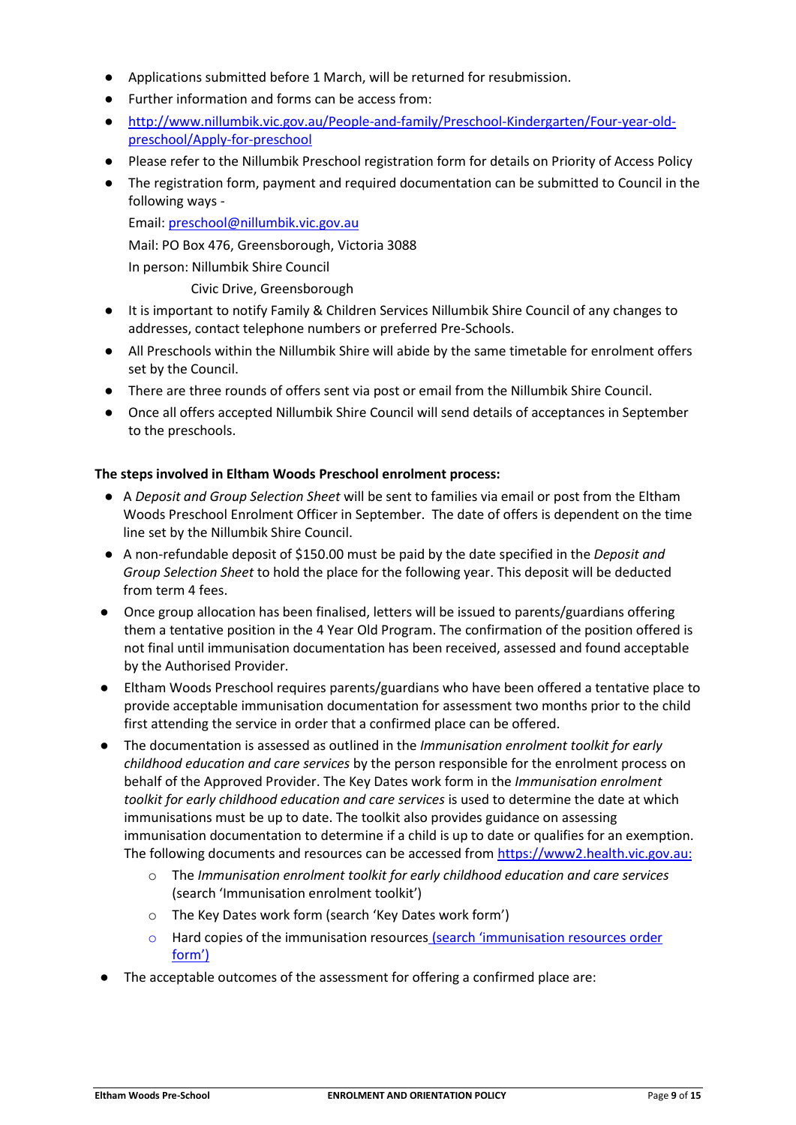- Applications submitted before 1 March, will be returned for resubmission.
- Further information and forms can be access from:
- [http://www.nillumbik.vic.gov.au/People-and-family/Preschool-Kindergarten/Four-year-old](http://www.nillumbik.vic.gov.au/People-and-family/Preschool-Kindergarten/Four-year-old-preschool/Apply-for-preschool)[preschool/Apply-for-preschool](http://www.nillumbik.vic.gov.au/People-and-family/Preschool-Kindergarten/Four-year-old-preschool/Apply-for-preschool)
- Please refer to the Nillumbik Preschool registration form for details on Priority of Access Policy
- The registration form, payment and required documentation can be submitted to Council in the following ways -

Email: [preschool@nillumbik.vic.gov.au](mailto:preschool@nillumbik.vic.gov.au)

Mail: PO Box 476, Greensborough, Victoria 3088

In person: Nillumbik Shire Council

Civic Drive, Greensborough

- It is important to notify Family & Children Services Nillumbik Shire Council of any changes to addresses, contact telephone numbers or preferred Pre-Schools.
- All Preschools within the Nillumbik Shire will abide by the same timetable for enrolment offers set by the Council.
- There are three rounds of offers sent via post or email from the Nillumbik Shire Council.
- Once all offers accepted Nillumbik Shire Council will send details of acceptances in September to the preschools.

# **The steps involved in Eltham Woods Preschool enrolment process:**

- A *Deposit and Group Selection Sheet* will be sent to families via email or post from the Eltham Woods Preschool Enrolment Officer in September. The date of offers is dependent on the time line set by the Nillumbik Shire Council.
- A non-refundable deposit of \$150.00 must be paid by the date specified in the *Deposit and Group Selection Sheet* to hold the place for the following year. This deposit will be deducted from term 4 fees.
- Once group allocation has been finalised, letters will be issued to parents/guardians offering them a tentative position in the 4 Year Old Program. The confirmation of the position offered is not final until immunisation documentation has been received, assessed and found acceptable by the Authorised Provider.
- Eltham Woods Preschool requires parents/guardians who have been offered a tentative place to provide acceptable immunisation documentation for assessment two months prior to the child first attending the service in order that a confirmed place can be offered.
- The documentation is assessed as outlined in the *Immunisation enrolment toolkit for early childhood education and care services* by the person responsible for the enrolment process on behalf of the Approved Provider. The Key Dates work form in the *Immunisation enrolment toolkit for early childhood education and care services* is used to determine the date at which immunisations must be up to date. The toolkit also provides guidance on assessing immunisation documentation to determine if a child is up to date or qualifies for an exemption. The following documents and resources can be accessed from [https://www2.health.vic.gov.au:](https://www2.health.vic.gov.au/)
	- o The *Immunisation enrolment toolkit for early childhood education and care services* (search 'Immunisation enrolment toolkit')
	- o The Key Dates work form (search 'Key Dates work form')
	- o Hard copies of the immunisation resources (search 'immunisation resources order form')
- The acceptable outcomes of the assessment for offering a confirmed place are: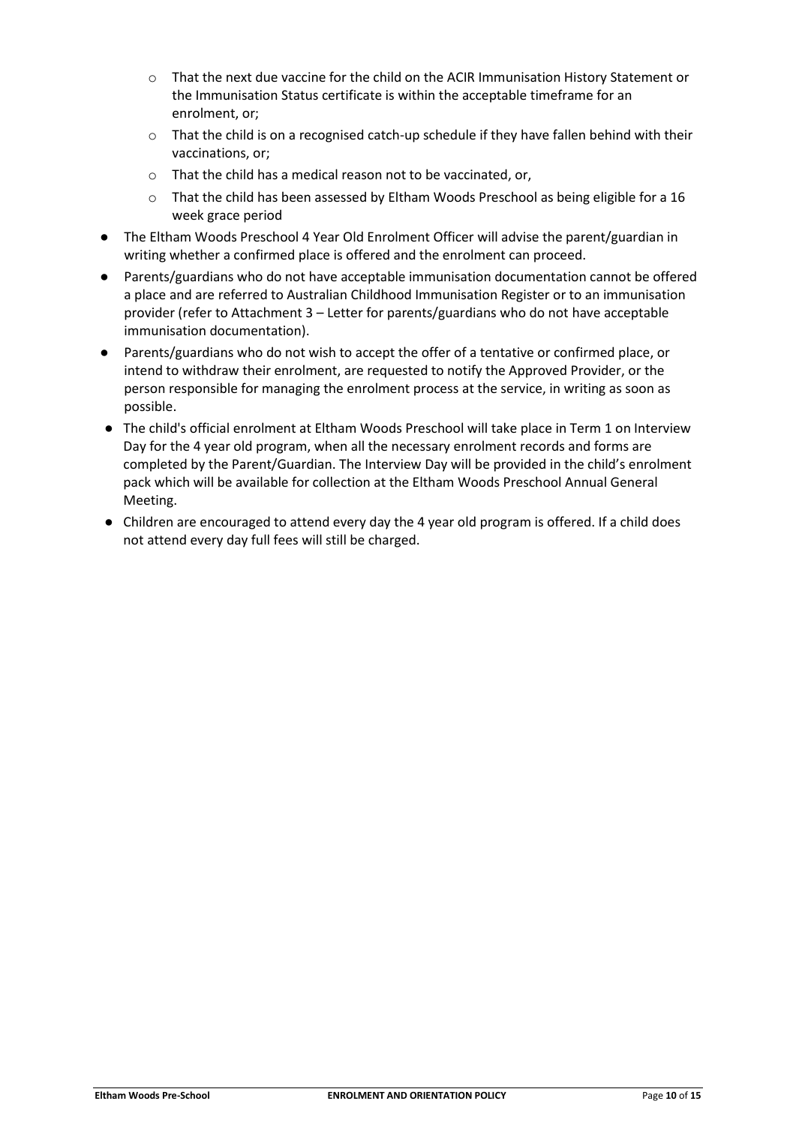- o That the next due vaccine for the child on the ACIR Immunisation History Statement or the Immunisation Status certificate is within the acceptable timeframe for an enrolment, or;
- o That the child is on a recognised catch-up schedule if they have fallen behind with their vaccinations, or;
- o That the child has a medical reason not to be vaccinated, or,
- o That the child has been assessed by Eltham Woods Preschool as being eligible for a 16 week grace period
- The Eltham Woods Preschool 4 Year Old Enrolment Officer will advise the parent/guardian in writing whether a confirmed place is offered and the enrolment can proceed.
- Parents/guardians who do not have acceptable immunisation documentation cannot be offered a place and are referred to Australian Childhood Immunisation Register or to an immunisation provider (refer to Attachment 3 – Letter for parents/guardians who do not have acceptable immunisation documentation).
- Parents/guardians who do not wish to accept the offer of a tentative or confirmed place, or intend to withdraw their enrolment, are requested to notify the Approved Provider, or the person responsible for managing the enrolment process at the service, in writing as soon as possible.
- The child's official enrolment at Eltham Woods Preschool will take place in Term 1 on Interview Day for the 4 year old program, when all the necessary enrolment records and forms are completed by the Parent/Guardian. The Interview Day will be provided in the child's enrolment pack which will be available for collection at the Eltham Woods Preschool Annual General Meeting.
- Children are encouraged to attend every day the 4 year old program is offered. If a child does not attend every day full fees will still be charged.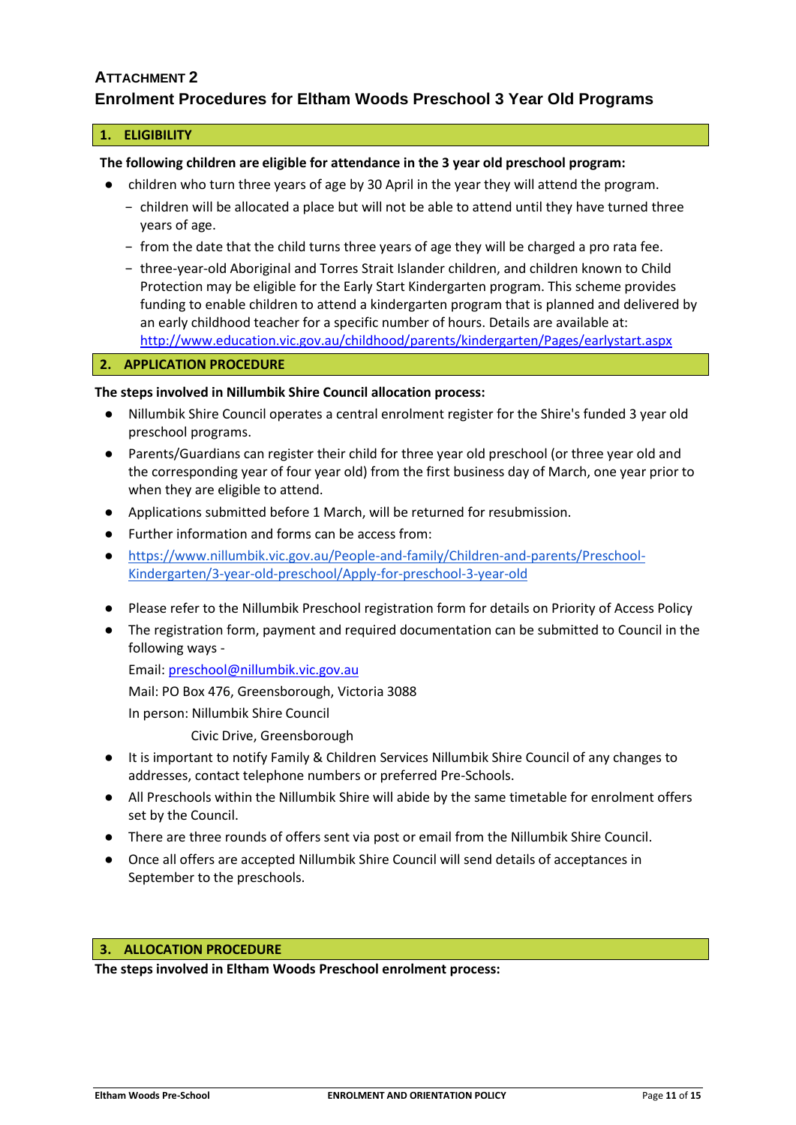# **ATTACHMENT 2**

# **Enrolment Procedures for Eltham Woods Preschool 3 Year Old Programs**

### **1. ELIGIBILITY**

# **The following children are eligible for attendance in the 3 year old preschool program:**

- children who turn three years of age by 30 April in the year they will attend the program.
	- − children will be allocated a place but will not be able to attend until they have turned three years of age.
	- − from the date that the child turns three years of age they will be charged a pro rata fee.
	- − three-year-old Aboriginal and Torres Strait Islander children, and children known to Child Protection may be eligible for the Early Start Kindergarten program. This scheme provides funding to enable children to attend a kindergarten program that is planned and delivered by an early childhood teacher for a specific number of hours. Details are available at: <http://www.education.vic.gov.au/childhood/parents/kindergarten/Pages/earlystart.aspx>

## **2. APPLICATION PROCEDURE**

## **The steps involved in Nillumbik Shire Council allocation process:**

- Nillumbik Shire Council operates a central enrolment register for the Shire's funded 3 year old preschool programs.
- Parents/Guardians can register their child for three year old preschool (or three year old and the corresponding year of four year old) from the first business day of March, one year prior to when they are eligible to attend.
- Applications submitted before 1 March, will be returned for resubmission.
- Further information and forms can be access from:
- [https://www.nillumbik.vic.gov.au/People-and-family/Children-and-parents/Preschool-](https://www.nillumbik.vic.gov.au/People-and-family/Children-and-parents/Preschool-Kindergarten/3-year-old-preschool/Apply-for-preschool-3-year-old)[Kindergarten/3-year-old-preschool/Apply-for-preschool-3-year-old](https://www.nillumbik.vic.gov.au/People-and-family/Children-and-parents/Preschool-Kindergarten/3-year-old-preschool/Apply-for-preschool-3-year-old)
- Please refer to the Nillumbik Preschool registration form for details on Priority of Access Policy
- The registration form, payment and required documentation can be submitted to Council in the following ways -

Email: [preschool@nillumbik.vic.gov.au](mailto:preschool@nillumbik.vic.gov.au)

Mail: PO Box 476, Greensborough, Victoria 3088

In person: Nillumbik Shire Council

Civic Drive, Greensborough

- It is important to notify Family & Children Services Nillumbik Shire Council of any changes to addresses, contact telephone numbers or preferred Pre-Schools.
- All Preschools within the Nillumbik Shire will abide by the same timetable for enrolment offers set by the Council.
- There are three rounds of offers sent via post or email from the Nillumbik Shire Council.
- Once all offers are accepted Nillumbik Shire Council will send details of acceptances in September to the preschools.

## **3. ALLOCATION PROCEDURE**

**The steps involved in Eltham Woods Preschool enrolment process:**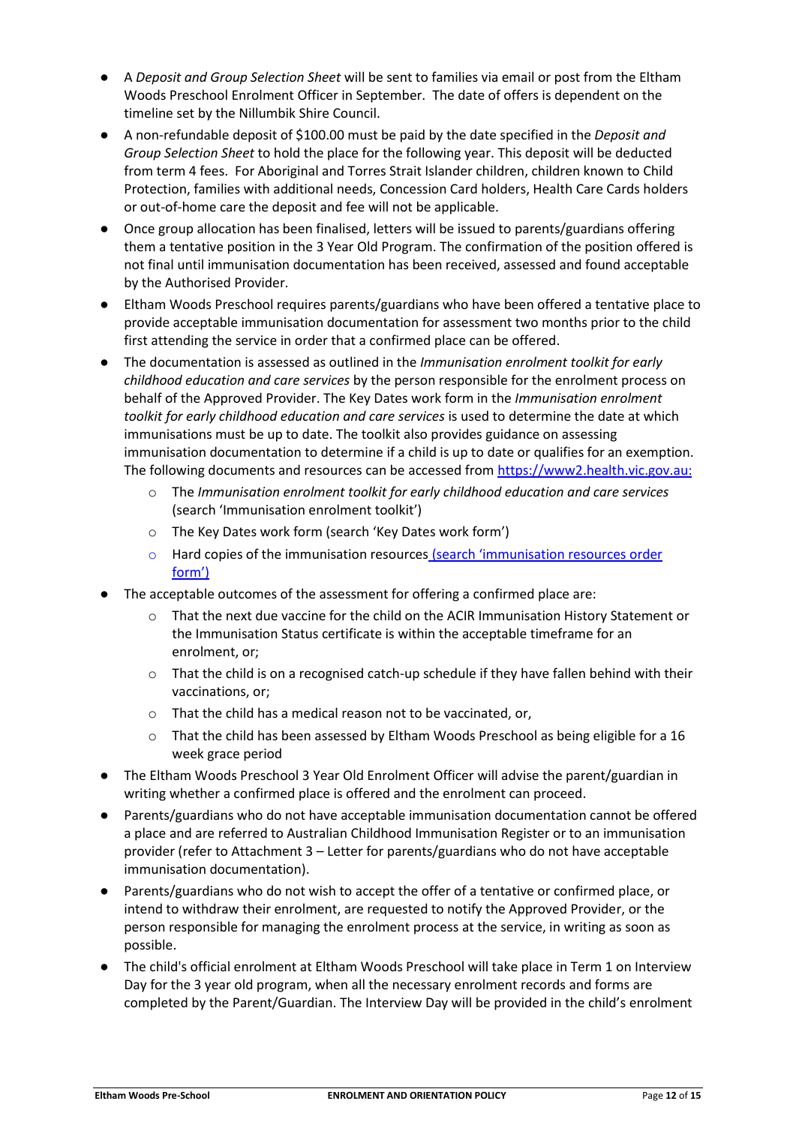- A *Deposit and Group Selection Sheet* will be sent to families via email or post from the Eltham Woods Preschool Enrolment Officer in September. The date of offers is dependent on the timeline set by the Nillumbik Shire Council.
- A non-refundable deposit of \$100.00 must be paid by the date specified in the *Deposit and Group Selection Sheet* to hold the place for the following year. This deposit will be deducted from term 4 fees. For Aboriginal and Torres Strait Islander children, children known to Child Protection, families with additional needs, Concession Card holders, Health Care Cards holders or out-of-home care the deposit and fee will not be applicable.
- Once group allocation has been finalised, letters will be issued to parents/guardians offering them a tentative position in the 3 Year Old Program. The confirmation of the position offered is not final until immunisation documentation has been received, assessed and found acceptable by the Authorised Provider.
- Eltham Woods Preschool requires parents/guardians who have been offered a tentative place to provide acceptable immunisation documentation for assessment two months prior to the child first attending the service in order that a confirmed place can be offered.
- The documentation is assessed as outlined in the *Immunisation enrolment toolkit for early childhood education and care services* by the person responsible for the enrolment process on behalf of the Approved Provider. The Key Dates work form in the *Immunisation enrolment toolkit for early childhood education and care services* is used to determine the date at which immunisations must be up to date. The toolkit also provides guidance on assessing immunisation documentation to determine if a child is up to date or qualifies for an exemption. The following documents and resources can be accessed from [https://www2.health.vic.gov.au:](https://www2.health.vic.gov.au/)
	- o The *Immunisation enrolment toolkit for early childhood education and care services* (search 'Immunisation enrolment toolkit')
	- o The Key Dates work form (search 'Key Dates work form')
	- o Hard copies of the immunisation resources (search 'immunisation resources order form')
- The acceptable outcomes of the assessment for offering a confirmed place are:
	- o That the next due vaccine for the child on the ACIR Immunisation History Statement or the Immunisation Status certificate is within the acceptable timeframe for an enrolment, or;
	- $\circ$  That the child is on a recognised catch-up schedule if they have fallen behind with their vaccinations, or;
	- o That the child has a medical reason not to be vaccinated, or,
	- o That the child has been assessed by Eltham Woods Preschool as being eligible for a 16 week grace period
- The Eltham Woods Preschool 3 Year Old Enrolment Officer will advise the parent/guardian in writing whether a confirmed place is offered and the enrolment can proceed.
- Parents/guardians who do not have acceptable immunisation documentation cannot be offered a place and are referred to Australian Childhood Immunisation Register or to an immunisation provider (refer to Attachment 3 – Letter for parents/guardians who do not have acceptable immunisation documentation).
- Parents/guardians who do not wish to accept the offer of a tentative or confirmed place, or intend to withdraw their enrolment, are requested to notify the Approved Provider, or the person responsible for managing the enrolment process at the service, in writing as soon as possible.
- The child's official enrolment at Eltham Woods Preschool will take place in Term 1 on Interview Day for the 3 year old program, when all the necessary enrolment records and forms are completed by the Parent/Guardian. The Interview Day will be provided in the child's enrolment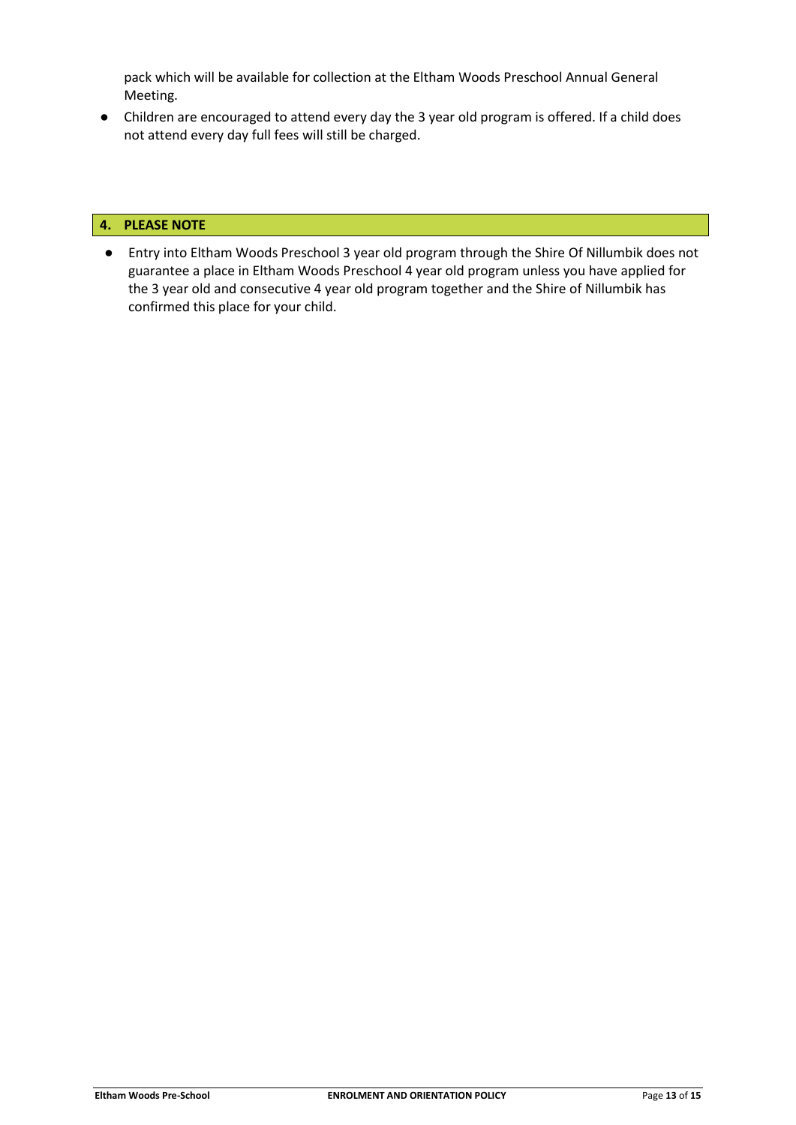pack which will be available for collection at the Eltham Woods Preschool Annual General Meeting.

● Children are encouraged to attend every day the 3 year old program is offered. If a child does not attend every day full fees will still be charged.

# **4. PLEASE NOTE**

● Entry into Eltham Woods Preschool 3 year old program through the Shire Of Nillumbik does not guarantee a place in Eltham Woods Preschool 4 year old program unless you have applied for the 3 year old and consecutive 4 year old program together and the Shire of Nillumbik has confirmed this place for your child.